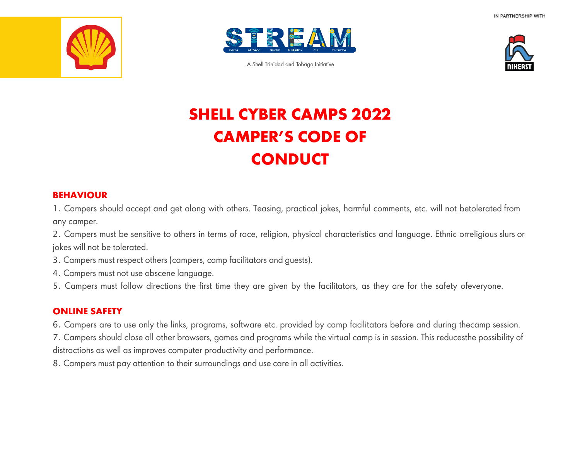



A Shell Trinidad and Tobago Initiative



# **SHELL CYBER CAMPS 2022 CAMPER'S CODE OF CONDUCT**

### **BEHAVIOUR**

1. Campers should accept and get along with others. Teasing, practical jokes, harmful comments, etc. will not betolerated from any camper.

2. Campers must be sensitive to others in terms of race, religion, physical characteristics and language. Ethnic orreligious slurs or jokes will not be tolerated.

- 3. Campers must respect others (campers, camp facilitators and guests).
- 4. Campers must not use obscene language.
- 5. Campers must follow directions the first time they are given by the facilitators, as they are for the safety ofeveryone.

## **ONLINE SAFETY**

- 6. Campers are to use only the links, programs, software etc. provided by camp facilitators before and during thecamp session.
- 7. Campers should close all other browsers, games and programs while the virtual camp is in session. This reducesthe possibility of distractions as well as improves computer productivity and performance.
- 8. Campers must pay attention to their surroundings and use care in all activities.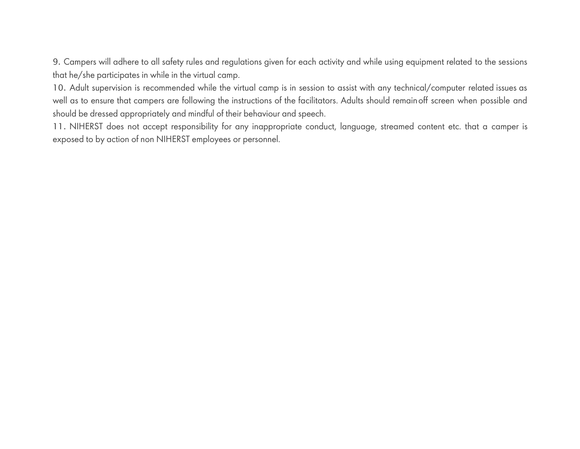9. Campers will adhere to all safety rules and regulations given for each activity and while using equipment related to the sessions that he/she participates in while in the virtual camp.

10. Adult supervision is recommended while the virtual camp is in session to assist with any technical/computer related issues as well as to ensure that campers are following the instructions of the facilitators. Adults should remainoff screen when possible and should be dressed appropriately and mindful of their behaviour and speech.

11. NIHERST does not accept responsibility for any inappropriate conduct, language, streamed content etc. that a camper is exposed to by action of non NIHERST employees or personnel.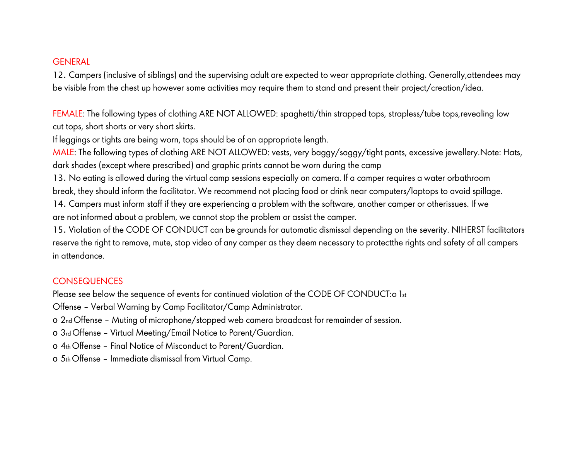#### **GENERAL**

12. Campers (inclusive of siblings) and the supervising adult are expected to wear appropriate clothing. Generally,attendees may be visible from the chest up however some activities may require them to stand and present their project/creation/idea.

FEMALE: The following types of clothing ARE NOT ALLOWED: spaghetti/thin strapped tops, strapless/tube tops,revealing low cut tops, short shorts or very short skirts.

If leggings or tights are being worn, tops should be of an appropriate length.

MALE: The following types of clothing ARE NOT ALLOWED: vests, very baggy/saggy/tight pants, excessive jewellery.Note: Hats, dark shades (except where prescribed) and graphic prints cannot be worn during the camp

13. No eating is allowed during the virtual camp sessions especially on camera. If a camper requires a water orbathroom break, they should inform the facilitator. We recommend not placing food or drink near computers/laptops to avoid spillage.

14. Campers must inform staff if they are experiencing a problem with the software, another camper or otherissues. If we are not informed about a problem, we cannot stop the problem or assist the camper.

15. Violation of the CODE OF CONDUCT can be grounds for automatic dismissal depending on the severity. NIHERST facilitators reserve the right to remove, mute, stop video of any camper as they deem necessary to protectthe rights and safety of all campers in attendance.

## **CONSEQUENCES**

Please see below the sequence of events for continued violation of the CODE OF CONDUCT:o 1st

Offense – Verbal Warning by Camp Facilitator/Camp Administrator.

o 2nd Offense – Muting of microphone/stopped web camera broadcast for remainder of session.

o 3rd Offense – Virtual Meeting/Email Notice to Parent/Guardian.

o 4th Offense – Final Notice of Misconduct to Parent/Guardian.

o 5th Offense – Immediate dismissal from Virtual Camp.